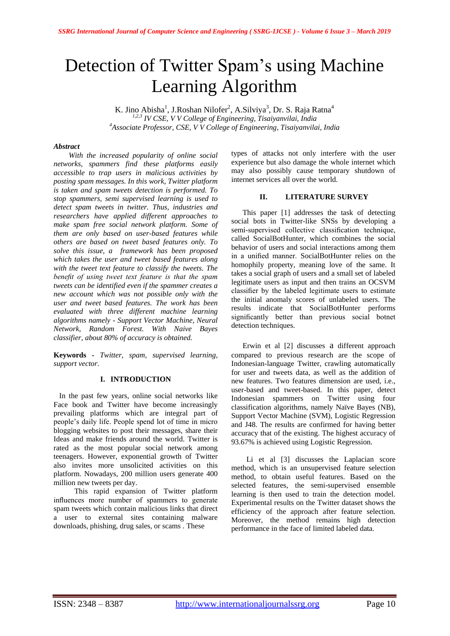# Detection of Twitter Spam's using Machine Learning Algorithm

K. Jino Abisha<sup>1</sup>, J.Roshan Nilofer<sup>2</sup>, A.Silviya<sup>3</sup>, Dr. S. Raja Ratna<sup>4</sup> *1,2,3 IV CSE, V V College of Engineering, Tisaiyanvilai, India <sup>4</sup>Associate Professor, CSE, V V College of Engineering, Tisaiyanvilai, India*

# *Abstract*

*With the increased popularity of online social networks, spammers find these platforms easily accessible to trap users in malicious activities by posting spam messages. In this work, Twitter platform is taken and spam tweets detection is performed. To stop spammers, semi supervised learning is used to detect spam tweets in twitter. Thus, industries and researchers have applied different approaches to make spam free social network platform. Some of them are only based on user-based features while others are based on tweet based features only. To solve this issue, a framework has been proposed which takes the user and tweet based features along with the tweet text feature to classify the tweets. The benefit of using tweet text feature is that the spam tweets can be identified even if the spammer creates a new account which was not possible only with the user and tweet based features. The work has been evaluated with three different machine learning algorithms namely - Support Vector Machine, Neural Network, Random Forest. With Naive Bayes classifier, about 80% of accuracy is obtained.*

**Keywords -** *Twitter, spam, supervised learning, support vector.* 

# **I. INTRODUCTION**

 In the past few years, online social networks like Face book and Twitter have become increasingly prevailing platforms which are integral part of people"s daily life. People spend lot of time in micro blogging websites to post their messages*,* share their Ideas and make friends around the world. Twitter is rated as the most popular social network among teenagers. However, exponential growth of Twitter also invites more unsolicited activities on this platform. Nowadays, 200 million users generate 400 million new tweets per day.

 This rapid expansion of Twitter platform influences more number of spammers to generate spam tweets which contain malicious links that direct a user to external sites containing malware downloads, phishing, drug sales, or scams . These

types of attacks not only interfere with the user experience but also damage the whole internet which may also possibly cause temporary shutdown of internet services all over the world.

# **II. LITERATURE SURVEY**

 This paper [1] addresses the task of detecting social bots in Twitter-like SNSs by developing a semi-supervised collective classification technique, called SocialBotHunter, which combines the social behavior of users and social interactions among them in a unified manner. SocialBotHunter relies on the homophily property, meaning love of the same. It takes a social graph of users and a small set of labeled legitimate users as input and then trains an OCSVM classifier by the labeled legitimate users to estimate the initial anomaly scores of unlabeled users. The results indicate that SocialBotHunter performs significantly better than previous social botnet detection techniques.

Erwin et al [2] discusses a different approach compared to previous research are the scope of Indonesian-language Twitter, crawling automatically for user and tweets data, as well as the addition of new features. Two features dimension are used, i.e., user-based and tweet-based. In this paper, detect Indonesian spammers on Twitter using four classification algorithms, namely Naïve Bayes (NB), Support Vector Machine (SVM), Logistic Regression and J48. The results are confirmed for having better accuracy that of the existing. The highest accuracy of 93.67% is achieved using Logistic Regression.

 Li et al [3] discusses the Laplacian score method, which is an unsupervised feature selection method, to obtain useful features. Based on the selected features, the semi-supervised ensemble learning is then used to train the detection model. Experimental results on the Twitter dataset shows the efficiency of the approach after feature selection. Moreover, the method remains high detection performance in the face of limited labeled data.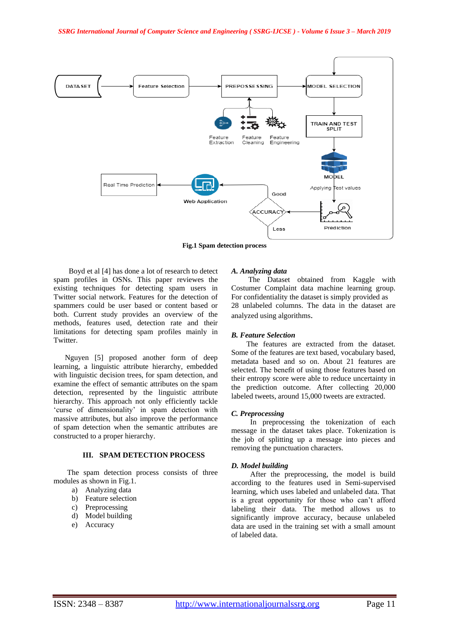

**Fig.1 Spam detection process**

Boyd et al [4] has done a lot of research to detect spam profiles in OSNs. This paper reviewes the existing techniques for detecting spam users in Twitter social network. Features for the detection of spammers could be user based or content based or both. Current study provides an overview of the methods, features used, detection rate and their limitations for detecting spam profiles mainly in Twitter.

 Nguyen [5] proposed another form of deep learning, a linguistic attribute hierarchy, embedded with linguistic decision trees, for spam detection, and examine the effect of semantic attributes on the spam detection, represented by the linguistic attribute hierarchy. This approach not only efficiently tackle "curse of dimensionality" in spam detection with massive attributes, but also improve the performance of spam detection when the semantic attributes are constructed to a proper hierarchy.

# **III. SPAM DETECTION PROCESS**

The spam detection process consists of three modules as shown in Fig.1.

- a) Analyzing data
- b) Feature selection
- c) Preprocessing
- d) Model building
- e) Accuracy

## *A. Analyzing data*

 The Dataset obtained from Kaggle with Costumer Complaint data machine learning group. For confidentiality the dataset is simply provided as 28 unlabeled columns. The data in the dataset are analyzed using algorithms.

#### *B. Feature Selection*

 The features are extracted from the dataset. Some of the features are text based, vocabulary based, metadata based and so on. About 21 features are selected. The benefit of using those features based on their entropy score were able to reduce uncertainty in the prediction outcome. After collecting 20,000 labeled tweets, around 15,000 tweets are extracted.

#### *C. Preprocessing*

 In preprocessing the tokenization of each message in the dataset takes place. Tokenization is the job of splitting up a message into pieces and removing the punctuation characters.

## *D. Model building*

 After the preprocessing, the model is build according to the features used in Semi-supervised learning, which uses labeled and unlabeled data. That is a great opportunity for those who can"t afford labeling their data. The method allows us to significantly improve accuracy, because unlabeled data are used in the training set with a small amount of labeled data.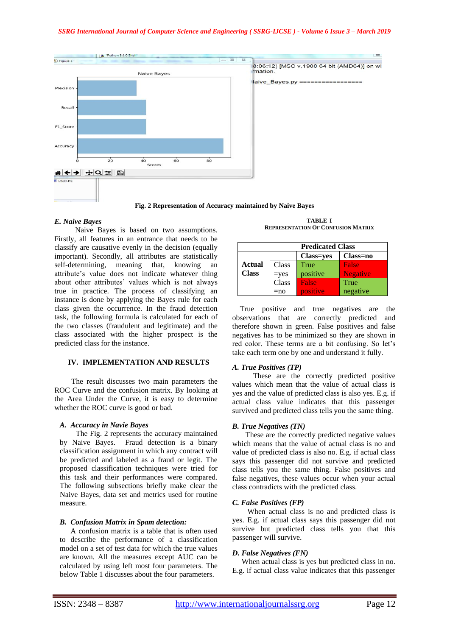

#### *E. Naive Bayes*

 Naive Bayes is based on two assumptions. Firstly, all features in an entrance that needs to be classify are causative evenly in the decision (equally important). Secondly, all attributes are statistically self-determining, meaning that, knowing an attribute"s value does not indicate whatever thing about other attributes' values which is not always true in practice. The process of classifying an instance is done by applying the Bayes rule for each class given the occurrence. In the fraud detection task, the following formula is calculated for each of the two classes (fraudulent and legitimate) and the class associated with the higher prospect is the predicted class for the instance.

# **IV. IMPLEMENTATION AND RESULTS**

The result discusses two main parameters the ROC Curve and the confusion matrix. By looking at the Area Under the Curve, it is easy to determine whether the ROC curve is good or bad.

# *A. Accuracy in Navie Bayes*

The Fig. 2 represents the accuracy maintained by Naive Bayes. Fraud detection is a binary classification assignment in which any contract will be predicted and labeled as a fraud or legit. The proposed classification techniques were tried for this task and their performances were compared. The following subsections briefly make clear the Naive Bayes, data set and metrics used for routine measure.

#### *B. Confusion Matrix in Spam detection:*

A confusion matrix is a table that is often used to describe the performance of a classification model on a set of test data for which the true values are known. All the measures except AUC can be calculated by using left most four parameters. The below Table 1 discusses about the four parameters.

**TABLE I REPRESENTATION OF CONFUSION MATRIX**

|              | <b>Predicated Class</b> |                  |                 |
|--------------|-------------------------|------------------|-----------------|
|              |                         | <b>Class=yes</b> | Class=no        |
| Actual       | Class                   | True             | <b>False</b>    |
| <b>Class</b> | $=$ ves                 | positive         | <b>Negative</b> |
|              | Class                   | Falser           | True            |
|              | $=$ no                  | positive         | negative        |

 True positive and true negatives are the observations that are correctly predicted and therefore shown in green. False positives and false negatives has to be minimized so they are shown in red color. These terms are a bit confusing. So let"s take each term one by one and understand it fully.

## *A. True Positives (TP)*

 These are the correctly predicted positive values which mean that the value of actual class is yes and the value of predicted class is also yes. E.g. if actual class value indicates that this passenger survived and predicted class tells you the same thing.

## *B. True Negatives (TN)*

These are the correctly predicted negative values which means that the value of actual class is no and value of predicted class is also no. E.g. if actual class says this passenger did not survive and predicted class tells you the same thing. False positives and false negatives, these values occur when your actual class contradicts with the predicted class.

## *C. False Positives (FP)*

When actual class is no and predicted class is yes. E.g. if actual class says this passenger did not survive but predicted class tells you that this passenger will survive.

## *D. False Negatives (FN)*

 When actual class is yes but predicted class in no. E.g. if actual class value indicates that this passenger